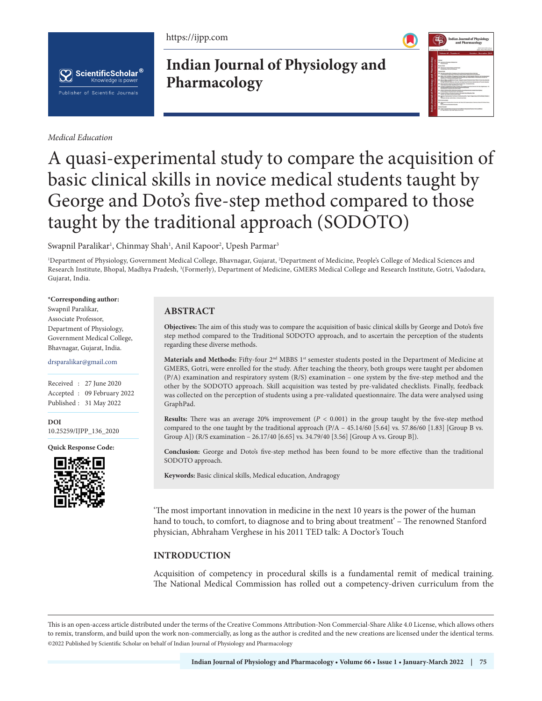https://ijpp.com



*Medical Education*

## **Indian Journal of Physiology and Pharmacology**

|                                                                                                                                                 | <b>Indian Journal of Physiology</b><br>and Pharmacology                                                                                                                                                  |
|-------------------------------------------------------------------------------------------------------------------------------------------------|----------------------------------------------------------------------------------------------------------------------------------------------------------------------------------------------------------|
| LIPPAT 67 on 27th Art Only.                                                                                                                     | <b>JOEN WATER SAME UPwart</b><br>JOIN 2003-2768 silhalast                                                                                                                                                |
| Vidume 63 - Number 4                                                                                                                            | October - December 2019                                                                                                                                                                                  |
| <b>CALLS</b>                                                                                                                                    |                                                                                                                                                                                                          |
| <b>IR Austram Afrantist Christine</b><br>Fastellated                                                                                            |                                                                                                                                                                                                          |
| <b><i><u>Business</u></i></b>                                                                                                                   |                                                                                                                                                                                                          |
| as American business between the treat.<br>Construction and annual business                                                                     |                                                                                                                                                                                                          |
| Osperane                                                                                                                                        |                                                                                                                                                                                                          |
| (A hunha teachulthich dasan chi su luteral country hus to temp<br>I believes to be them deviced blank from the first bearing as bed by          |                                                                                                                                                                                                          |
| branchmann brocht bereit ber 17 bestehen ber<br>Recruiting in Advancements and Lisa                                                             | 10. While all the Bridge at Description Service Terms as Inchinesement Schools and Boundary                                                                                                              |
| <b>Brown Call in South of</b>                                                                                                                   | the silker at refer and influtures fluence integer on Agric Hitamore Islam fluid Toyota lines factories<br>Autogot Teneries's Hauthora Halkulak MarTelan Rena Astribusia Televisione en Trochulu Martele |
| M. Bachmandter Hawkerbrug of the total Burbone Afrage at a fund<br>time that machine. See Ballaghi & box                                        |                                                                                                                                                                                                          |
| has been been as the bear of himself and state<br>An industry 1.1 being help with their                                                         | 18. Supply a Systematic that a busine is a times from home to be a businessee - by                                                                                                                       |
| All Advances to the collection of the collection of the collection of the collection of the collection of<br>1 Restaurio 1 August 4-1 scylidate |                                                                                                                                                                                                          |
| 19. Robert Alfred Waterford Area and the product to analyze from<br><b><i>Search Tax Future Mutual Search Report</i></b>                        |                                                                                                                                                                                                          |
| $\blacksquare$<br>c                                                                                                                             | Aproval of National about Published of Chicken about the an Top A College to busine the National Children in                                                                                             |
| women with the buildings of the wall and here<br><b>Institutes/color</b>                                                                        |                                                                                                                                                                                                          |
|                                                                                                                                                 | 14 Harvards in Royce a face form to build a with Harvards in Supercondent in Business Harvards in Columbus                                                                                               |
| ≖<br><b>Business Program Contractives Investments</b>                                                                                           |                                                                                                                                                                                                          |
| <b><i><u>Industrian</u></i></b>                                                                                                                 |                                                                                                                                                                                                          |
| A SAFAHARASAN TARIX TA BASIL MARAKA DA CIRA BASI<br>\$1.5 Main President - Made Player Made and The Winter                                      |                                                                                                                                                                                                          |

# A quasi-experimental study to compare the acquisition of basic clinical skills in novice medical students taught by George and Doto's five-step method compared to those taught by the traditional approach (SODOTO)

Swapnil Paralikar<sup>ı</sup>, Chinmay Shah<sup>ı</sup>, Anil Kapoor<sup>2</sup>, Upesh Parmar<sup>3</sup>

1 Department of Physiology, Government Medical College, Bhavnagar, Gujarat, 2 Department of Medicine, People's College of Medical Sciences and Research Institute, Bhopal, Madhya Pradesh, <sup>3</sup>(Formerly), Department of Medicine, GMERS Medical College and Research Institute, Gotri, Vadodara, Gujarat, India.

#### **\*Corresponding author:**

Swapnil Paralikar, Associate Professor, Department of Physiology, Government Medical College, Bhavnagar, Gujarat, India.

#### drsparalikar@gmail.com

Received : 27 June 2020 Accepted : 09 February 2022 Published : 31 May 2022

**DOI** 10.25259/IJPP\_136\_2020

**Quick Response Code:**



## **ABSTRACT**

**Objectives:** The aim of this study was to compare the acquisition of basic clinical skills by George and Doto's five step method compared to the Traditional SODOTO approach, and to ascertain the perception of the students regarding these diverse methods.

Materials and Methods: Fifty-four 2<sup>nd</sup> MBBS 1<sup>st</sup> semester students posted in the Department of Medicine at GMERS, Gotri, were enrolled for the study. After teaching the theory, both groups were taught per abdomen (P/A) examination and respiratory system (R/S) examination – one system by the five-step method and the other by the SODOTO approach. Skill acquisition was tested by pre-validated checklists. Finally, feedback was collected on the perception of students using a pre-validated questionnaire. The data were analysed using GraphPad.

**Results:** There was an average 20% improvement  $(P < 0.001)$  in the group taught by the five-step method compared to the one taught by the traditional approach (P/A – 45.14/60 [5.64] vs. 57.86/60 [1.83] [Group B vs. Group A]) (R/S examination – 26.17/40 [6.65] vs. 34.79/40 [3.56] [Group A vs. Group B]).

**Conclusion:** George and Doto's five-step method has been found to be more effective than the traditional SODOTO approach.

**Keywords:** Basic clinical skills, Medical education, Andragogy

'The most important innovation in medicine in the next 10 years is the power of the human hand to touch, to comfort, to diagnose and to bring about treatment' – The renowned Stanford physician, Abhraham Verghese in his 2011 TED talk: A Doctor's Touch

## **INTRODUCTION**

Acquisition of competency in procedural skills is a fundamental remit of medical training. The National Medical Commission has rolled out a competency-driven curriculum from the

This is an open-access article distributed under the terms of the Creative Commons Attribution-Non Commercial-Share Alike 4.0 License, which allows others to remix, transform, and build upon the work non-commercially, as long as the author is credited and the new creations are licensed under the identical terms. ©2022 Published by Scientific Scholar on behalf of Indian Journal of Physiology and Pharmacology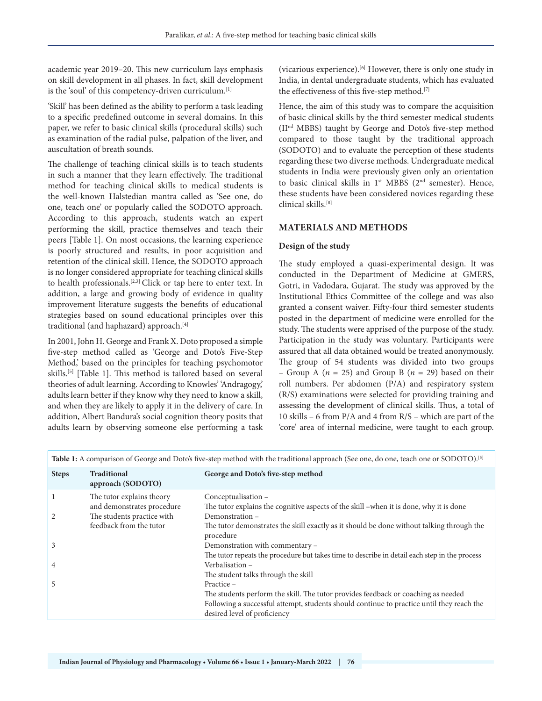academic year 2019–20. This new curriculum lays emphasis on skill development in all phases. In fact, skill development is the 'soul' of this competency-driven curriculum.[1]

'Skill' has been defined as the ability to perform a task leading to a specific predefined outcome in several domains. In this paper, we refer to basic clinical skills (procedural skills) such as examination of the radial pulse, palpation of the liver, and auscultation of breath sounds.

The challenge of teaching clinical skills is to teach students in such a manner that they learn effectively. The traditional method for teaching clinical skills to medical students is the well-known Halstedian mantra called as 'See one, do one, teach one' or popularly called the SODOTO approach. According to this approach, students watch an expert performing the skill, practice themselves and teach their peers [Table 1]. On most occasions, the learning experience is poorly structured and results, in poor acquisition and retention of the clinical skill. Hence, the SODOTO approach is no longer considered appropriate for teaching clinical skills to health professionals.[2,3] Click or tap here to enter text. In addition, a large and growing body of evidence in quality improvement literature suggests the benefits of educational strategies based on sound educational principles over this traditional (and haphazard) approach.[4]

In 2001, John H. George and Frank X. Doto proposed a simple five-step method called as 'George and Doto's Five-Step Method,' based on the principles for teaching psychomotor skills.<sup>[5]</sup> [Table 1]. This method is tailored based on several theories of adult learning. According to Knowles' 'Andragogy,' adults learn better if they know why they need to know a skill, and when they are likely to apply it in the delivery of care. In addition, Albert Bandura's social cognition theory posits that adults learn by observing someone else performing a task (vicarious experience).[6] However, there is only one study in India, in dental undergraduate students, which has evaluated the effectiveness of this five-step method.<sup>[7]</sup>

Hence, the aim of this study was to compare the acquisition of basic clinical skills by the third semester medical students (IInd MBBS) taught by George and Doto's five-step method compared to those taught by the traditional approach (SODOTO) and to evaluate the perception of these students regarding these two diverse methods. Undergraduate medical students in India were previously given only an orientation to basic clinical skills in 1<sup>st</sup> MBBS (2<sup>nd</sup> semester). Hence, these students have been considered novices regarding these clinical skills.[8]

#### **MATERIALS AND METHODS**

#### **Design of the study**

The study employed a quasi-experimental design. It was conducted in the Department of Medicine at GMERS, Gotri, in Vadodara, Gujarat. The study was approved by the Institutional Ethics Committee of the college and was also granted a consent waiver. Fifty-four third semester students posted in the department of medicine were enrolled for the study. The students were apprised of the purpose of the study. Participation in the study was voluntary. Participants were assured that all data obtained would be treated anonymously. The group of 54 students was divided into two groups – Group A ( $n = 25$ ) and Group B ( $n = 29$ ) based on their roll numbers. Per abdomen (P/A) and respiratory system (R/S) examinations were selected for providing training and assessing the development of clinical skills. Thus, a total of 10 skills – 6 from P/A and 4 from R/S – which are part of the 'core' area of internal medicine, were taught to each group.

| Table 1: A comparison of George and Doto's five-step method with the traditional approach (See one, do one, teach one or SODOTO). <sup>[5]</sup> |                                                                                       |                                                                                                                                                                                                                              |
|--------------------------------------------------------------------------------------------------------------------------------------------------|---------------------------------------------------------------------------------------|------------------------------------------------------------------------------------------------------------------------------------------------------------------------------------------------------------------------------|
| <b>Steps</b>                                                                                                                                     | <b>Traditional</b><br>approach (SODOTO)                                               | George and Doto's five-step method                                                                                                                                                                                           |
| $\overline{2}$                                                                                                                                   | The tutor explains theory<br>and demonstrates procedure<br>The students practice with | Conceptualisation -<br>The tutor explains the cognitive aspects of the skill –when it is done, why it is done<br>Demonstration -                                                                                             |
|                                                                                                                                                  | feedback from the tutor                                                               | The tutor demonstrates the skill exactly as it should be done without talking through the<br>procedure                                                                                                                       |
| 3                                                                                                                                                |                                                                                       | Demonstration with commentary -<br>The tutor repeats the procedure but takes time to describe in detail each step in the process                                                                                             |
| 4                                                                                                                                                |                                                                                       | Verbalisation -<br>The student talks through the skill                                                                                                                                                                       |
| 5                                                                                                                                                |                                                                                       | Practice -<br>The students perform the skill. The tutor provides feedback or coaching as needed<br>Following a successful attempt, students should continue to practice until they reach the<br>desired level of proficiency |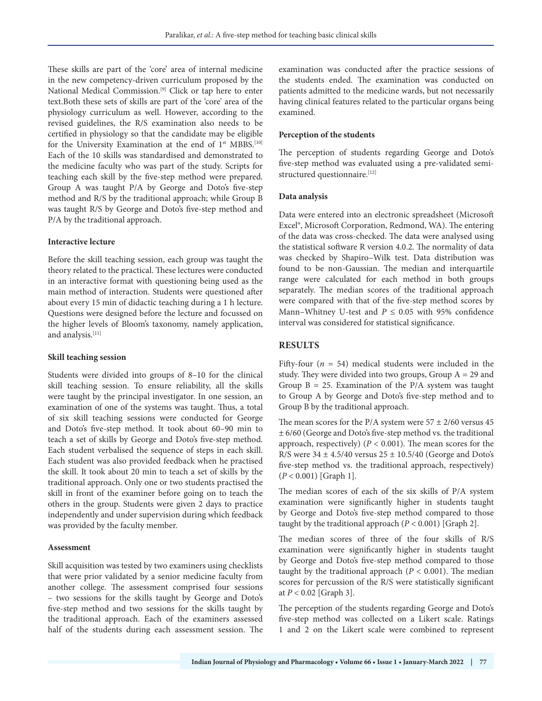These skills are part of the 'core' area of internal medicine in the new competency-driven curriculum proposed by the National Medical Commission.<sup>[9]</sup> Click or tap here to enter text.Both these sets of skills are part of the 'core' area of the physiology curriculum as well. However, according to the revised guidelines, the R/S examination also needs to be certified in physiology so that the candidate may be eligible for the University Examination at the end of  $1<sup>st</sup> MBBS.<sup>[10]</sup>$ Each of the 10 skills was standardised and demonstrated to the medicine faculty who was part of the study. Scripts for teaching each skill by the five-step method were prepared. Group A was taught P/A by George and Doto's five-step method and R/S by the traditional approach; while Group B was taught R/S by George and Doto's five-step method and P/A by the traditional approach.

#### **Interactive lecture**

Before the skill teaching session, each group was taught the theory related to the practical. These lectures were conducted in an interactive format with questioning being used as the main method of interaction. Students were questioned after about every 15 min of didactic teaching during a 1 h lecture. Questions were designed before the lecture and focussed on the higher levels of Bloom's taxonomy, namely application, and analysis.[11]

#### **Skill teaching session**

Students were divided into groups of 8–10 for the clinical skill teaching session. To ensure reliability, all the skills were taught by the principal investigator. In one session, an examination of one of the systems was taught. Thus, a total of six skill teaching sessions were conducted for George and Doto's five-step method. It took about 60–90 min to teach a set of skills by George and Doto's five-step method. Each student verbalised the sequence of steps in each skill. Each student was also provided feedback when he practised the skill. It took about 20 min to teach a set of skills by the traditional approach. Only one or two students practised the skill in front of the examiner before going on to teach the others in the group. Students were given 2 days to practice independently and under supervision during which feedback was provided by the faculty member.

#### **Assessment**

Skill acquisition was tested by two examiners using checklists that were prior validated by a senior medicine faculty from another college. The assessment comprised four sessions – two sessions for the skills taught by George and Doto's five-step method and two sessions for the skills taught by the traditional approach. Each of the examiners assessed half of the students during each assessment session. The examination was conducted after the practice sessions of the students ended. The examination was conducted on patients admitted to the medicine wards, but not necessarily having clinical features related to the particular organs being examined.

#### **Perception of the students**

The perception of students regarding George and Doto's five-step method was evaluated using a pre-validated semistructured questionnaire.[12]

#### **Data analysis**

Data were entered into an electronic spreadsheet (Microsoft Excel®, Microsoft Corporation, Redmond, WA). The entering of the data was cross-checked. The data were analysed using the statistical software R version 4.0.2. The normality of data was checked by Shapiro–Wilk test. Data distribution was found to be non-Gaussian. The median and interquartile range were calculated for each method in both groups separately. The median scores of the traditional approach were compared with that of the five-step method scores by Mann–Whitney U-test and  $P \le 0.05$  with 95% confidence interval was considered for statistical significance.

### **RESULTS**

Fifty-four  $(n = 54)$  medical students were included in the study. They were divided into two groups, Group  $A = 29$  and Group  $B = 25$ . Examination of the P/A system was taught to Group A by George and Doto's five-step method and to Group B by the traditional approach.

The mean scores for the P/A system were  $57 \pm 2/60$  versus 45 ± 6/60 (George and Doto's five-step method vs. the traditional approach, respectively)  $(P < 0.001)$ . The mean scores for the R/S were  $34 \pm 4.5/40$  versus  $25 \pm 10.5/40$  (George and Doto's five-step method vs. the traditional approach, respectively) (*P* < 0.001) [Graph 1].

The median scores of each of the six skills of P/A system examination were significantly higher in students taught by George and Doto's five-step method compared to those taught by the traditional approach  $(P < 0.001)$  [Graph 2].

The median scores of three of the four skills of R/S examination were significantly higher in students taught by George and Doto's five-step method compared to those taught by the traditional approach  $(P < 0.001)$ . The median scores for percussion of the R/S were statistically significant at *P* < 0.02 [Graph 3].

The perception of the students regarding George and Doto's five-step method was collected on a Likert scale. Ratings 1 and 2 on the Likert scale were combined to represent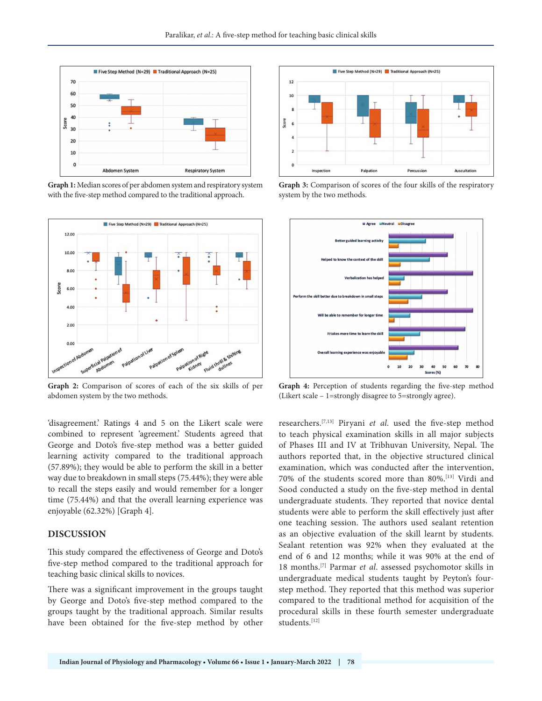

**Graph 1:** Median scores of per abdomen system and respiratory system with the five-step method compared to the traditional approach.



**Graph 2:** Comparison of scores of each of the six skills of per abdomen system by the two methods.

'disagreement.' Ratings 4 and 5 on the Likert scale were combined to represent 'agreement.' Students agreed that George and Doto's five-step method was a better guided learning activity compared to the traditional approach (57.89%); they would be able to perform the skill in a better way due to breakdown in small steps (75.44%); they were able to recall the steps easily and would remember for a longer time (75.44%) and that the overall learning experience was enjoyable (62.32%) [Graph 4].

#### **DISCUSSION**

This study compared the effectiveness of George and Doto's five-step method compared to the traditional approach for teaching basic clinical skills to novices.

There was a significant improvement in the groups taught by George and Doto's five-step method compared to the groups taught by the traditional approach. Similar results have been obtained for the five-step method by other



**Graph 3:** Comparison of scores of the four skills of the respiratory system by the two methods.



**Graph 4:** Perception of students regarding the five-step method (Likert scale – 1=strongly disagree to 5=strongly agree).

researchers.[7,13] Piryani *et al*. used the five-step method to teach physical examination skills in all major subjects of Phases III and IV at Tribhuvan University, Nepal. The authors reported that, in the objective structured clinical examination, which was conducted after the intervention, 70% of the students scored more than 80%.[13] Virdi and Sood conducted a study on the five-step method in dental undergraduate students. They reported that novice dental students were able to perform the skill effectively just after one teaching session. The authors used sealant retention as an objective evaluation of the skill learnt by students. Sealant retention was 92% when they evaluated at the end of 6 and 12 months; while it was 90% at the end of 18 months.[7] Parmar *et al*. assessed psychomotor skills in undergraduate medical students taught by Peyton's fourstep method. They reported that this method was superior compared to the traditional method for acquisition of the procedural skills in these fourth semester undergraduate students.[12]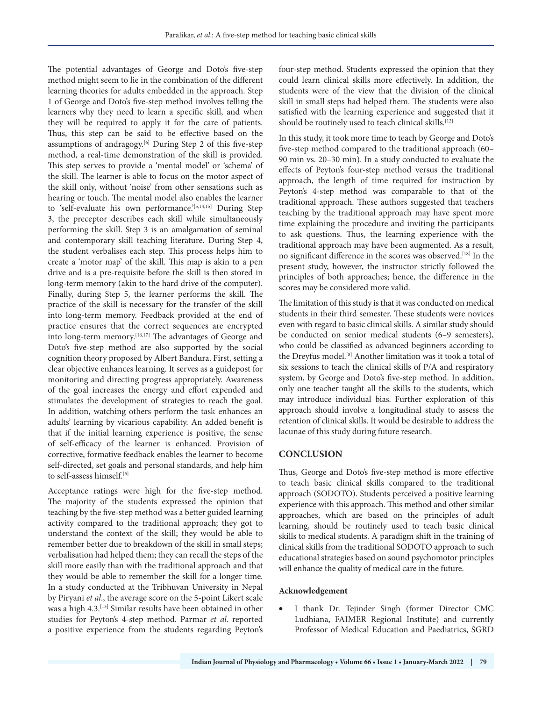The potential advantages of George and Doto's five-step method might seem to lie in the combination of the different learning theories for adults embedded in the approach. Step 1 of George and Doto's five-step method involves telling the learners why they need to learn a specific skill, and when they will be required to apply it for the care of patients. Thus, this step can be said to be effective based on the assumptions of andragogy.<sup>[6]</sup> During Step 2 of this five-step method, a real-time demonstration of the skill is provided. This step serves to provide a 'mental model' or 'schema' of the skill. The learner is able to focus on the motor aspect of the skill only, without 'noise' from other sensations such as hearing or touch. The mental model also enables the learner to 'self-evaluate his own performance.'<sup>[5,14,15]</sup> During Step 3, the preceptor describes each skill while simultaneously performing the skill. Step 3 is an amalgamation of seminal and contemporary skill teaching literature. During Step 4, the student verbalises each step. This process helps him to create a 'motor map' of the skill. This map is akin to a pen drive and is a pre-requisite before the skill is then stored in long-term memory (akin to the hard drive of the computer). Finally, during Step 5, the learner performs the skill. The practice of the skill is necessary for the transfer of the skill into long-term memory. Feedback provided at the end of practice ensures that the correct sequences are encrypted into long-term memory.<sup>[16,17]</sup> The advantages of George and Doto's five-step method are also supported by the social cognition theory proposed by Albert Bandura. First, setting a clear objective enhances learning. It serves as a guidepost for monitoring and directing progress appropriately. Awareness of the goal increases the energy and effort expended and stimulates the development of strategies to reach the goal. In addition, watching others perform the task enhances an adults' learning by vicarious capability. An added benefit is that if the initial learning experience is positive, the sense of self-efficacy of the learner is enhanced. Provision of corrective, formative feedback enables the learner to become self-directed, set goals and personal standards, and help him to self-assess himself.[6]

Acceptance ratings were high for the five-step method. The majority of the students expressed the opinion that teaching by the five-step method was a better guided learning activity compared to the traditional approach; they got to understand the context of the skill; they would be able to remember better due to breakdown of the skill in small steps; verbalisation had helped them; they can recall the steps of the skill more easily than with the traditional approach and that they would be able to remember the skill for a longer time. In a study conducted at the Tribhuvan University in Nepal by Piryani *et al*., the average score on the 5-point Likert scale was a high 4.3.<sup>[13]</sup> Similar results have been obtained in other studies for Peyton's 4-step method. Parmar *et al*. reported a positive experience from the students regarding Peyton's

four-step method. Students expressed the opinion that they could learn clinical skills more effectively. In addition, the students were of the view that the division of the clinical skill in small steps had helped them. The students were also satisfied with the learning experience and suggested that it should be routinely used to teach clinical skills.<sup>[12]</sup>

In this study, it took more time to teach by George and Doto's five-step method compared to the traditional approach (60– 90 min vs. 20–30 min). In a study conducted to evaluate the effects of Peyton's four-step method versus the traditional approach, the length of time required for instruction by Peyton's 4-step method was comparable to that of the traditional approach. These authors suggested that teachers teaching by the traditional approach may have spent more time explaining the procedure and inviting the participants to ask questions. Thus, the learning experience with the traditional approach may have been augmented. As a result, no significant difference in the scores was observed.[18] In the present study, however, the instructor strictly followed the principles of both approaches; hence, the difference in the scores may be considered more valid.

The limitation of this study is that it was conducted on medical students in their third semester. These students were novices even with regard to basic clinical skills. A similar study should be conducted on senior medical students (6–9 semesters), who could be classified as advanced beginners according to the Dreyfus model.[8] Another limitation was it took a total of six sessions to teach the clinical skills of P/A and respiratory system, by George and Doto's five-step method. In addition, only one teacher taught all the skills to the students, which may introduce individual bias. Further exploration of this approach should involve a longitudinal study to assess the retention of clinical skills. It would be desirable to address the lacunae of this study during future research.

#### **CONCLUSION**

Thus, George and Doto's five-step method is more effective to teach basic clinical skills compared to the traditional approach (SODOTO). Students perceived a positive learning experience with this approach. This method and other similar approaches, which are based on the principles of adult learning, should be routinely used to teach basic clinical skills to medical students. A paradigm shift in the training of clinical skills from the traditional SODOTO approach to such educational strategies based on sound psychomotor principles will enhance the quality of medical care in the future.

#### **Acknowledgement**

I thank Dr. Tejinder Singh (former Director CMC Ludhiana, FAIMER Regional Institute) and currently Professor of Medical Education and Paediatrics, SGRD